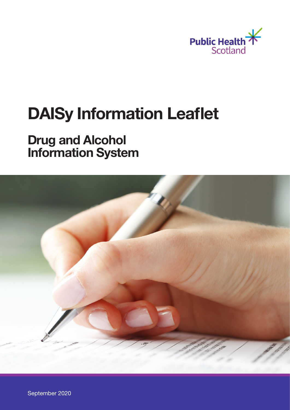

# DAISy Information Leaflet

# Drug and Alcohol Information System



September 2020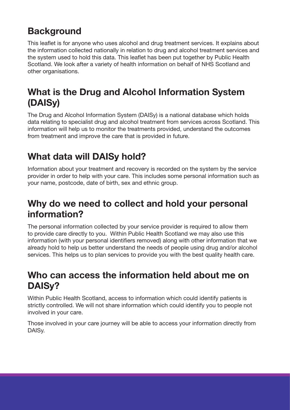# **Background**

This leaflet is for anyone who uses alcohol and drug treatment services. It explains about the information collected nationally in relation to drug and alcohol treatment services and the system used to hold this data. This leaflet has been put together by Public Health Scotland. We look after a variety of health information on behalf of NHS Scotland and other organisations.

### What is the Drug and Alcohol Information System (DAISy)

The Drug and Alcohol Information System (DAISy) is a national database which holds data relating to specialist drug and alcohol treatment from services across Scotland. This information will help us to monitor the treatments provided, understand the outcomes from treatment and improve the care that is provided in future.

# What data will DAISy hold?

Information about your treatment and recovery is recorded on the system by the service provider in order to help with your care. This includes some personal information such as your name, postcode, date of birth, sex and ethnic group.

#### Why do we need to collect and hold your personal information?

The personal information collected by your service provider is required to allow them to provide care directly to you. Within Public Health Scotland we may also use this information (with your personal identifiers removed) along with other information that we already hold to help us better understand the needs of people using drug and/or alcohol services. This helps us to plan services to provide you with the best quality health care.

#### Who can access the information held about me on DAISy?

Within Public Health Scotland, access to information which could identify patients is strictly controlled. We will not share information which could identify you to people not involved in your care.

Those involved in your care journey will be able to access your information directly from DAISy.